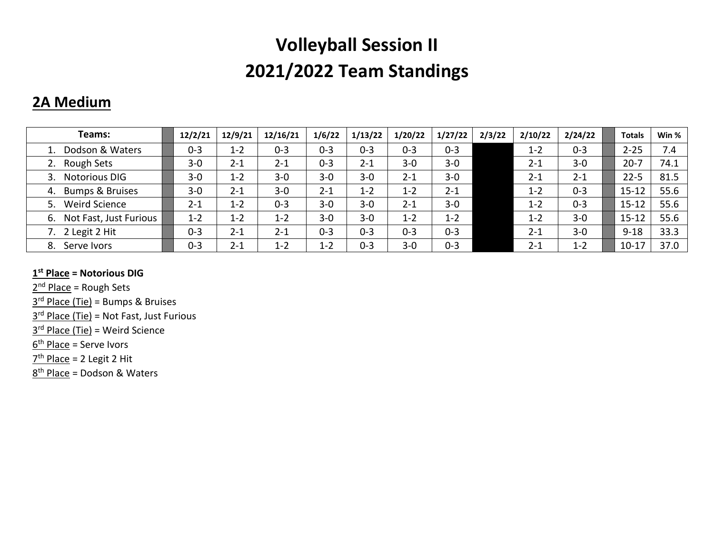### **2A Medium**

| Teams:                       | 12/2/21 | 12/9/21 | 12/16/21 | 1/6/22  | 1/13/22 | 1/20/22 | 1/27/22 | 2/3/22 | 2/10/22 | 2/24/22 | <b>Totals</b> | Win % |
|------------------------------|---------|---------|----------|---------|---------|---------|---------|--------|---------|---------|---------------|-------|
| 1. Dodson & Waters           | $0 - 3$ | $1 - 2$ | $0 - 3$  | $0 - 3$ | $0 - 3$ | $0 - 3$ | $0 - 3$ |        | $1 - 2$ | $0 - 3$ | $2 - 25$      | 7.4   |
| Rough Sets<br>2.             | $3 - 0$ | $2 - 1$ | $2 - 1$  | $0 - 3$ | $2 - 1$ | $3 - 0$ | $3 - 0$ |        | $2 - 1$ | $3 - 0$ | $20 - 7$      | 74.1  |
| <b>Notorious DIG</b><br>3.   | $3 - 0$ | $1 - 2$ | $3 - 0$  | $3 - 0$ | $3 - 0$ | $2 - 1$ | $3 - 0$ |        | $2 - 1$ | $2 - 1$ | $22 - 5$      | 81.5  |
| 4. Bumps & Bruises           | $3 - 0$ | $2 - 1$ | $3 - 0$  | $2 - 1$ | $1 - 2$ | $1 - 2$ | $2 - 1$ |        | $1 - 2$ | $0 - 3$ | $15 - 12$     | 55.6  |
| <b>Weird Science</b><br>5.   | $2 - 1$ | $1 - 2$ | $0 - 3$  | $3 - 0$ | $3 - 0$ | $2 - 1$ | $3 - 0$ |        | $1 - 2$ | $0 - 3$ | $15 - 12$     | 55.6  |
| Not Fast, Just Furious<br>6. | $1 - 2$ | $1 - 2$ | $1 - 2$  | $3 - 0$ | $3 - 0$ | $1 - 2$ | $1 - 2$ |        | $1 - 2$ | $3 - 0$ | $15 - 12$     | 55.6  |
| 7. 2 Legit 2 Hit             | $0 - 3$ | $2 - 1$ | $2 - 1$  | $0 - 3$ | $0 - 3$ | $0 - 3$ | $0 - 3$ |        | $2 - 1$ | $3 - 0$ | $9 - 18$      | 33.3  |
| Serve Ivors<br>8.            | $0 - 3$ | $2 - 1$ | $1 - 2$  | $1 - 2$ | $0 - 3$ | $3 - 0$ | $0 - 3$ |        | $2 - 1$ | $1 - 2$ | $10 - 17$     | 37.0  |

#### **1 st Place = Notorious DIG**

2<sup>nd</sup> Place = Rough Sets

3<sup>rd</sup> Place (Tie) = Bumps & Bruises

3<sup>rd</sup> Place (Tie) = Not Fast, Just Furious

3<sup>rd</sup> Place (Tie) = Weird Science

<u>6<sup>th</sup> Place</u> = Serve Ivors

7<sup>th</sup> Place = 2 Legit 2 Hit

8<sup>th</sup> Place = Dodson & Waters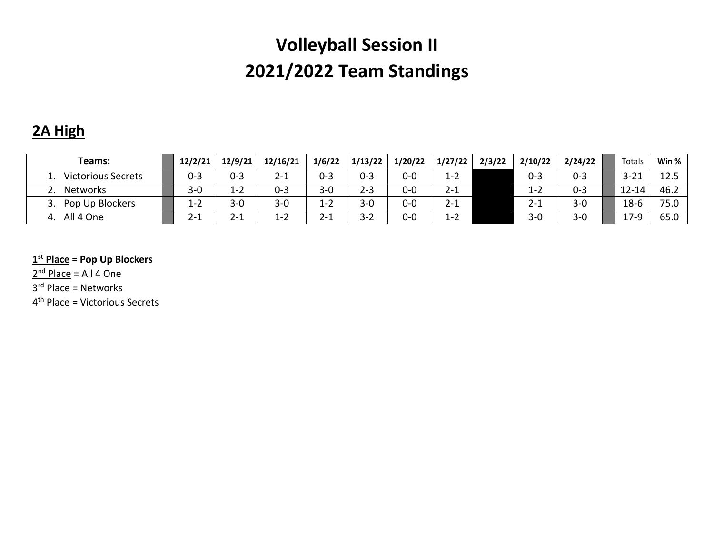### **2A High**

| Teams:                    | 12/2/21 | 12/9/21 | 12/16/21 | 1/6/22  | 1/13/22 | 1/20/22 | 1/27/22 | 2/3/22 | 2/10/22 | 2/24/22 | Totals    | Win % |
|---------------------------|---------|---------|----------|---------|---------|---------|---------|--------|---------|---------|-----------|-------|
| <b>Victorious Secrets</b> | $0 - 3$ | $0 - 3$ | $2 - 1$  | $0 - 3$ | $0 - 3$ | 0-0     | $1 - 2$ |        | $0 - 3$ | $0 - 3$ | $3 - 21$  | 12.5  |
| Networks                  | $3 - 0$ | $1 - 2$ | $0 - 3$  | $3 - 0$ | $2 - 3$ | 0-0     | $2 - 1$ |        | $1 - 2$ | $0 - 3$ | $12 - 14$ | 46.2  |
| Pop Up Blockers           | $1 - 2$ | $3 - 0$ | $3 - 0$  | $1 - 2$ | $3 - 0$ | 0-0     | $2 - 1$ |        | $2 - 1$ | $3 - 0$ | $18-6$    | 75.0  |
| All 4 One<br>4            | Z-.     | 2-1     | $1 - 2$  | $2 - 1$ | $3 - 2$ | 0-0     | $1 - 2$ |        | $3 - 0$ | $3 - 0$ | $17-9$    | 65.0  |

#### **1 st Place = Pop Up Blockers**

2<sup>nd</sup> Place = All 4 One

3<sup>rd</sup> Place = Networks

4<sup>th</sup> Place = Victorious Secrets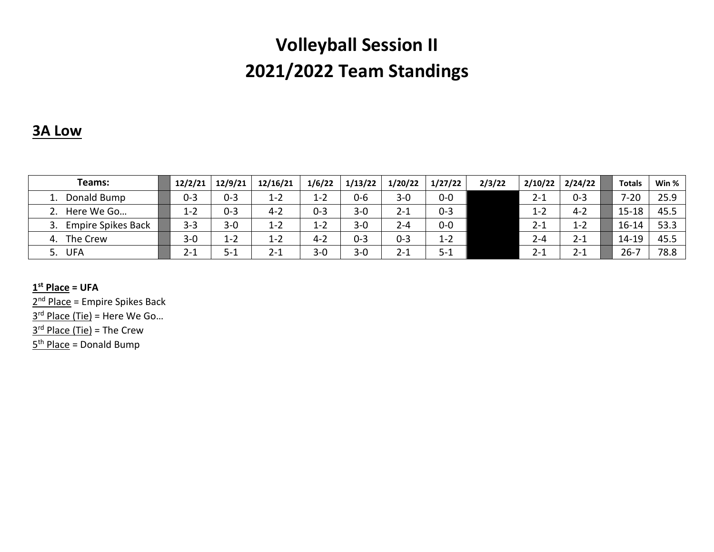### **3A Low**

| Teams:                    | 12/2/21 | 12/9/21 | 12/16/21 | 1/6/22  | 1/13/22 | 1/20/22 | 1/27/22 | 2/3/22 | 2/10/22 | 2/24/22 | <b>Totals</b> | Win % |
|---------------------------|---------|---------|----------|---------|---------|---------|---------|--------|---------|---------|---------------|-------|
| Donald Bump               | $0 - 3$ | $0 - 3$ | $1 - 2$  | $1 - 2$ | $0 - 6$ | $3 - 0$ | $0-0$   |        | 2-1     | $0 - 3$ | $7 - 20$      | 25.9  |
| Here We Go                | $1 - 2$ | $0 - 3$ | $4 - 2$  | $0 - 3$ | $3 - 0$ | $2 - 1$ | $0 - 3$ |        | $1 - 2$ | $4 - 2$ | $15 - 18$     | 45.5  |
| <b>Empire Spikes Back</b> | $3 - 3$ | $3 - 0$ | 1-2      | $1 - 2$ | $3 - 0$ | $2 - 4$ | $0 - 0$ |        | $2 - 1$ | $1 - 2$ | $16 - 14$     | 53.3  |
| The Crew<br>4.            | $3 - 0$ | $1 - 2$ | 1-2      | $4 - 2$ | $0 - 3$ | $0 - 3$ | $1 - 2$ |        | 2-4     | $2 - 1$ | 14-19         | 45.5  |
| <b>UFA</b><br>5.          | $2 - 1$ | נ-כ     | $2 - 1$  | $3 - 0$ | $3 - 0$ | $2 - 1$ | $5 - 1$ |        | 2-1     | $2 - 1$ | $26 - 1$      | 78.8  |

**1 st Place = UFA**

2<sup>nd</sup> Place = Empire Spikes Back 3<sup>rd</sup> Place (Tie) = Here We Go... 3<sup>rd</sup> Place (Tie) = The Crew 5<sup>th</sup> Place = Donald Bump